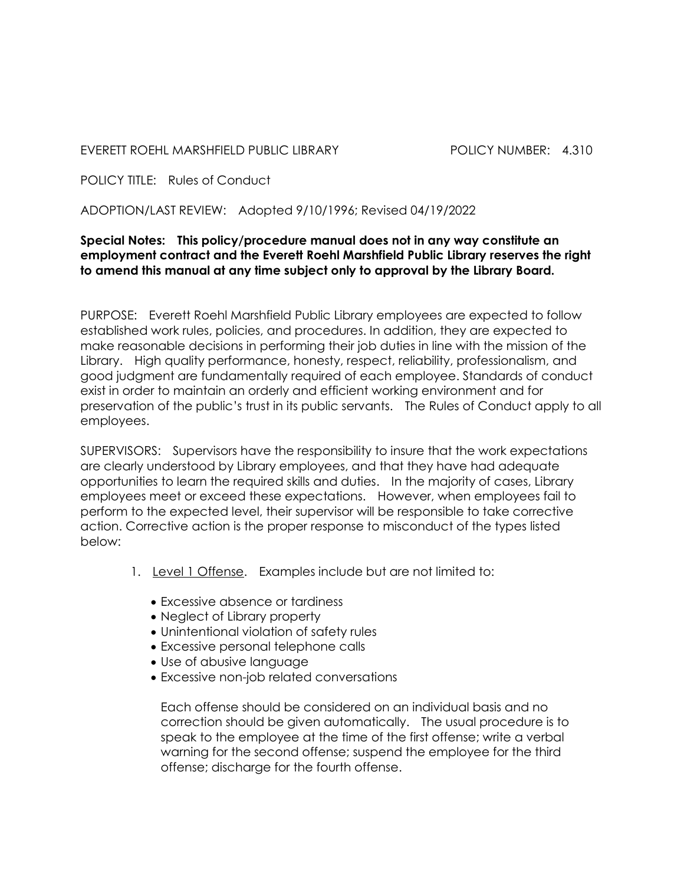EVERETT ROEHL MARSHFIELD PUBLIC LIBRARY POLICY NUMBER: 4.310

POLICY TITLE: Rules of Conduct

ADOPTION/LAST REVIEW: Adopted 9/10/1996; Revised 04/19/2022

## Special Notes: This policy/procedure manual does not in any way constitute an employment contract and the Everett Roehl Marshfield Public Library reserves the right to amend this manual at any time subject only to approval by the Library Board.

PURPOSE: Everett Roehl Marshfield Public Library employees are expected to follow established work rules, policies, and procedures. In addition, they are expected to make reasonable decisions in performing their job duties in line with the mission of the Library. High quality performance, honesty, respect, reliability, professionalism, and good judgment are fundamentally required of each employee. Standards of conduct exist in order to maintain an orderly and efficient working environment and for preservation of the public's trust in its public servants. The Rules of Conduct apply to all employees.

SUPERVISORS: Supervisors have the responsibility to insure that the work expectations are clearly understood by Library employees, and that they have had adequate opportunities to learn the required skills and duties. In the majority of cases, Library employees meet or exceed these expectations. However, when employees fail to perform to the expected level, their supervisor will be responsible to take corrective action. Corrective action is the proper response to misconduct of the types listed below:

- 1. Level 1 Offense. Examples include but are not limited to:
	- Excessive absence or tardiness
	- Neglect of Library property
	- Unintentional violation of safety rules
	- Excessive personal telephone calls
	- Use of abusive language
	- Excessive non-job related conversations

 Each offense should be considered on an individual basis and no correction should be given automatically. The usual procedure is to speak to the employee at the time of the first offense; write a verbal warning for the second offense; suspend the employee for the third offense; discharge for the fourth offense.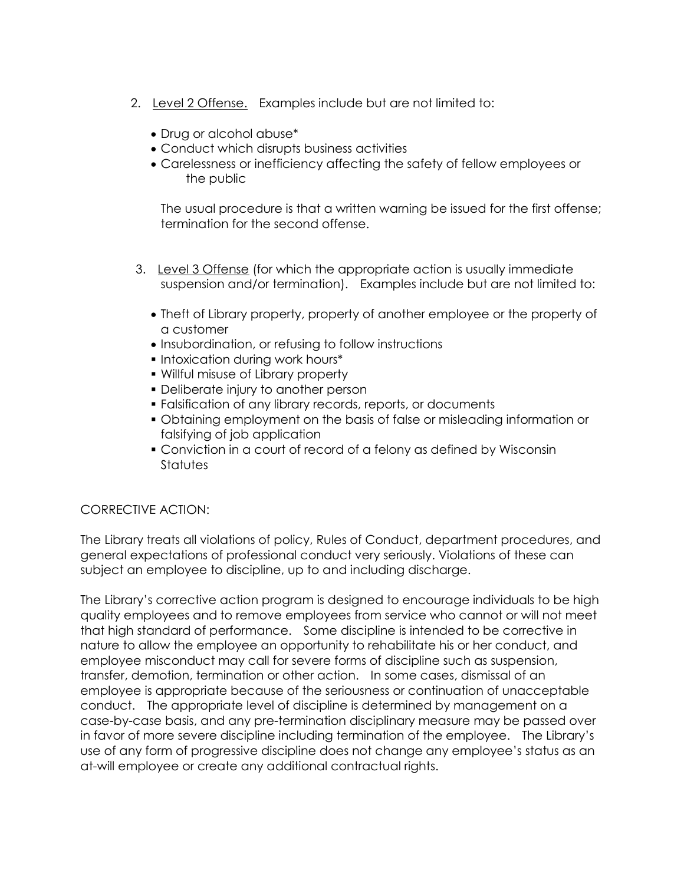- 2. Level 2 Offense. Examples include but are not limited to:
	- Drug or alcohol abuse\*
	- Conduct which disrupts business activities
	- Carelessness or inefficiency affecting the safety of fellow employees or the public

 The usual procedure is that a written warning be issued for the first offense; termination for the second offense.

- 3. Level 3 Offense (for which the appropriate action is usually immediate suspension and/or termination). Examples include but are not limited to:
	- Theft of Library property, property of another employee or the property of a customer
	- $\bullet$  Insubordination, or refusing to follow instructions
	- **Intoxication during work hours\***
	- Willful misuse of Library property
	- Deliberate injury to another person
	- Falsification of any library records, reports, or documents
	- Obtaining employment on the basis of false or misleading information or falsifying of job application
	- Conviction in a court of record of a felony as defined by Wisconsin **Statutes**

## CORRECTIVE ACTION:

The Library treats all violations of policy, Rules of Conduct, department procedures, and general expectations of professional conduct very seriously. Violations of these can subject an employee to discipline, up to and including discharge.

The Library's corrective action program is designed to encourage individuals to be high quality employees and to remove employees from service who cannot or will not meet that high standard of performance. Some discipline is intended to be corrective in nature to allow the employee an opportunity to rehabilitate his or her conduct, and employee misconduct may call for severe forms of discipline such as suspension, transfer, demotion, termination or other action. In some cases, dismissal of an employee is appropriate because of the seriousness or continuation of unacceptable conduct. The appropriate level of discipline is determined by management on a case-by-case basis, and any pre-termination disciplinary measure may be passed over in favor of more severe discipline including termination of the employee. The Library's use of any form of progressive discipline does not change any employee's status as an at-will employee or create any additional contractual rights.